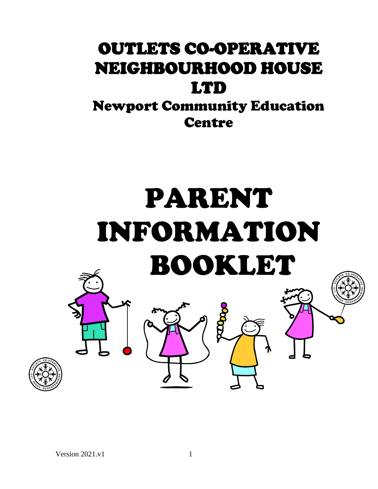# OUTLETS CO-OPERATIVE NEIGHBOURHOOD HOUSE LTD

Newport Community Education **Centre** 

# PARENT INFORMATION BOOKLET

parago

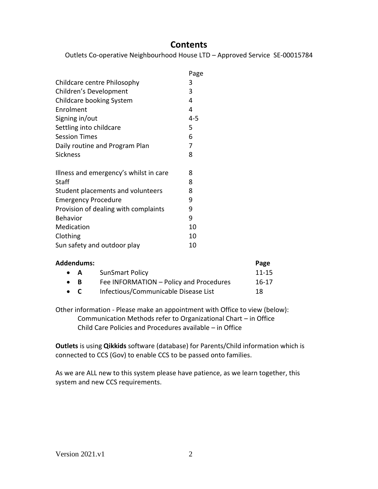# **Contents**

Outlets Co-operative Neighbourhood House LTD – Approved Service SE-00015784

|                                        | Page |
|----------------------------------------|------|
| Childcare centre Philosophy            | 3    |
| Children's Development                 | 3    |
| Childcare booking System               | 4    |
| Enrolment                              | 4    |
| Signing in/out                         | 4-5  |
| Settling into childcare                | 5    |
| <b>Session Times</b>                   | 6    |
| Daily routine and Program Plan         | 7    |
| <b>Sickness</b>                        | 8    |
|                                        |      |
| Illness and emergency's whilst in care | 8    |
| Staff                                  | 8    |
| Student placements and volunteers      | 8    |
| <b>Emergency Procedure</b>             | 9    |
| Provision of dealing with complaints   | 9    |
| <b>Behavior</b>                        | 9    |
| Medication                             | 10   |
| Clothing                               | 10   |
| Sun safety and outdoor play            | 10   |

| Addendums:  |                                         | Page      |
|-------------|-----------------------------------------|-----------|
| $\bullet$ A | <b>SunSmart Policy</b>                  | $11 - 15$ |
| $\bullet$ R | Fee INFORMATION - Policy and Procedures | $16-17$   |
| $\bullet$ C | Infectious/Communicable Disease List    | 18        |

Other information - Please make an appointment with Office to view (below): Communication Methods refer to Organizational Chart – in Office Child Care Policies and Procedures available – in Office

**Outlets** is using **Qikkids** software (database) for Parents/Child information which is connected to CCS (Gov) to enable CCS to be passed onto families.

As we are ALL new to this system please have patience, as we learn together, this system and new CCS requirements.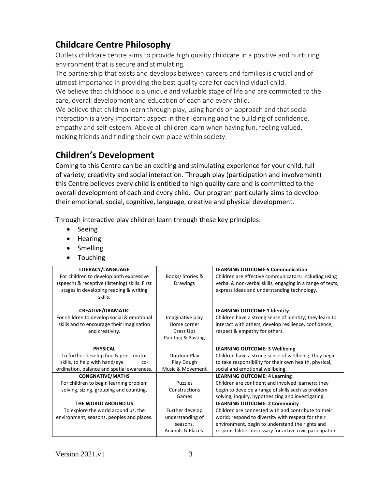# **Childcare Centre Philosophy**

Outlets childcare centre aims to provide high quality childcare in a positive and nurturing environment that is secure and stimulating.

The partnership that exists and develops between careers and families is crucial and of utmost importance in providing the best quality care for each individual child.

We believe that childhood is a unique and valuable stage of life and are committed to the care, overall development and education of each and every child.

We believe that children learn through play, using hands on approach and that social interaction is a very important aspect in their learning and the building of confidence, empathy and self-esteem. Above all children learn when having fun, feeling valued, making friends and finding their own place within society.

# **Children's Development**

Coming to this Centre can be an exciting and stimulating experience for your child, full of variety, creativity and social interaction. Through play (participation and involvement) this Centre believes every child is entitled to high quality care and is committed to the overall development of each and every child. Our program particularly aims to develop their emotional, social, cognitive, language, creative and physical development.

Through interactive play children learn through these key principles:

- Seeing
- Hearing
- Smelling
- Touching

| LITERACY/LANGUAGE                              |                    | <b>LEARNING OUTCOME:5 Communication</b>                    |
|------------------------------------------------|--------------------|------------------------------------------------------------|
| For children to develop both expressive        | Books/Stories &    | Children are effective communicators: including using      |
| (speech) & receptive (listening) skills. First | <b>Drawings</b>    | verbal & non-verbal skills, engaging in a range of texts,  |
| stages in developing reading & writing         |                    | express ideas and understanding technology.                |
| skills.                                        |                    |                                                            |
|                                                |                    |                                                            |
| <b>CREATIVE/DRAMATIC</b>                       |                    | <b>LEARNING OUTCOME:1 Identity</b>                         |
| For children to develop social & emotional     | Imaginative play   | Children have a strong sense of identity; they learn to    |
| skills and to encourage their imagination      | Home corner        | interact with others, develop resilience, confidence,      |
| and creativity.                                | Dress Ups          | respect & empathy for others.                              |
|                                                | Painting & Pasting |                                                            |
|                                                |                    |                                                            |
| <b>PHYSICAL</b>                                |                    | <b>LEARNING OUTCOME: 3 Wellbeing</b>                       |
| To further develop fine & gross motor          | Outdoor Play       | Children have a strong sense of wellbeing; they begin      |
| skills, to help with hand/eye<br>$CO-$         | Play Dough         | to take responsibility for their own health, physical,     |
| ordination, balance and spatial awareness.     | Music & Movement   | social and emotional wellbeing.                            |
| <b>CONGNATIVE/MATHS</b>                        |                    | <b>LEARNING OUTCOME: 4 Learning</b>                        |
| For children to begin learning problem         | <b>Puzzles</b>     | Children are confident and involved learners; they         |
| solving, sizing, grouping and counting.        | Constructions      | begin to develop a range of skills such as problem         |
|                                                | Games              | solving, inquiry, hypothesizing and investigating.         |
| THE WORLD AROUND US                            |                    | <b>LEARNING OUTCOME: 2 Community</b>                       |
| To explore the world around us, the            | Further develop    | Children are connected with and contribute to their        |
| environment, seasons, peoples and places.      | understanding of   | world; respond to diversity with respect for their         |
|                                                | seasons,           | environment, begin to understand the rights and            |
|                                                | Animals & Places.  | responsibilities necessary for active civic participation. |
|                                                |                    |                                                            |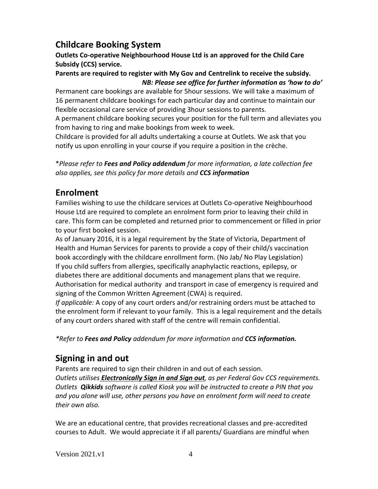# **Childcare Booking System**

# **Outlets Co-operative Neighbourhood House Ltd is an approved for the Child Care Subsidy (CCS) service.**

# **Parents are required to register with My Gov and Centrelink to receive the subsidy.** *NB: Please see office for further information as 'how to do'*

Permanent care bookings are available for 5hour sessions. We will take a maximum of 16 permanent childcare bookings for each particular day and continue to maintain our flexible occasional care service of providing 3hour sessions to parents.

A permanent childcare booking secures your position for the full term and alleviates you from having to ring and make bookings from week to week.

Childcare is provided for all adults undertaking a course at Outlets. We ask that you notify us upon enrolling in your course if you require a position in the crèche.

\**Please refer to Fees and Policy addendum for more information, a late collection fee also applies, see this policy for more details and CCS information*

# **Enrolment**

Families wishing to use the childcare services at Outlets Co-operative Neighbourhood House Ltd are required to complete an enrolment form prior to leaving their child in care. This form can be completed and returned prior to commencement or filled in prior to your first booked session.

As of January 2016, it is a legal requirement by the State of Victoria, Department of Health and Human Services for parents to provide a copy of their child/s vaccination book accordingly with the childcare enrollment form. (No Jab/ No Play Legislation) If you child suffers from allergies, specifically anaphylactic reactions, epilepsy, or diabetes there are additional documents and management plans that we require. Authorisation for medical authority and transport in case of emergency is required and signing of the Common Written Agreement (CWA) is required.

*If applicable:* A copy of any court orders and/or restraining orders must be attached to the enrolment form if relevant to your family. This is a legal requirement and the details of any court orders shared with staff of the centre will remain confidential.

*\*Refer to Fees and Policy addendum for more information and CCS information.*

# **Signing in and out**

Parents are required to sign their children in and out of each session. *Outlets utilises Electronically Sign in and Sign out, as per Federal Gov CCS requirements. Outlets Qikkids software is called Kiosk you will be instructed to create a PIN that you and you alone will use, other persons you have on enrolment form will need to create their own also.*

We are an educational centre, that provides recreational classes and pre-accredited courses to Adult. We would appreciate it if all parents/ Guardians are mindful when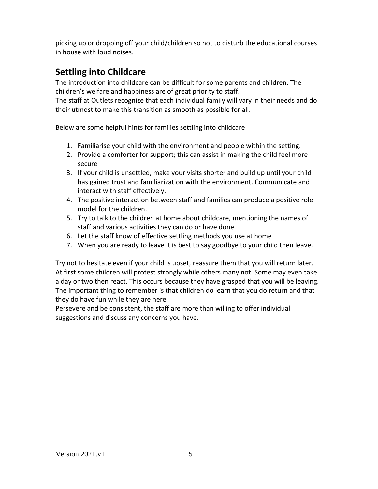picking up or dropping off your child/children so not to disturb the educational courses in house with loud noises.

# **Settling into Childcare**

The introduction into childcare can be difficult for some parents and children. The children's welfare and happiness are of great priority to staff.

The staff at Outlets recognize that each individual family will vary in their needs and do their utmost to make this transition as smooth as possible for all.

Below are some helpful hints for families settling into childcare

- 1. Familiarise your child with the environment and people within the setting.
- 2. Provide a comforter for support; this can assist in making the child feel more secure
- 3. If your child is unsettled, make your visits shorter and build up until your child has gained trust and familiarization with the environment. Communicate and interact with staff effectively.
- 4. The positive interaction between staff and families can produce a positive role model for the children.
- 5. Try to talk to the children at home about childcare, mentioning the names of staff and various activities they can do or have done.
- 6. Let the staff know of effective settling methods you use at home
- 7. When you are ready to leave it is best to say goodbye to your child then leave.

Try not to hesitate even if your child is upset, reassure them that you will return later. At first some children will protest strongly while others many not. Some may even take a day or two then react. This occurs because they have grasped that you will be leaving. The important thing to remember is that children do learn that you do return and that they do have fun while they are here.

Persevere and be consistent, the staff are more than willing to offer individual suggestions and discuss any concerns you have.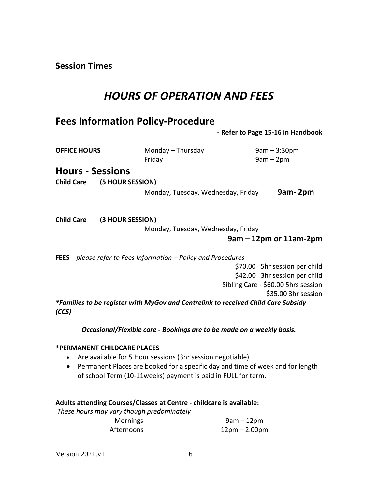**Session Times**

# *HOURS OF OPERATION AND FEES*

# **Fees Information Policy-Procedure**

 **- Refer to Page 15-16 in Handbook** 

| <b>OFFICE HOURS</b>                   | Monday - Thursday<br>Friday                                                       | $9am - 3:30pm$<br>$9am - 2pm$       |
|---------------------------------------|-----------------------------------------------------------------------------------|-------------------------------------|
| <b>Hours - Sessions</b>               |                                                                                   |                                     |
| (5 HOUR SESSION)<br><b>Child Care</b> |                                                                                   |                                     |
|                                       | Monday, Tuesday, Wednesday, Friday                                                | 9am-2pm                             |
| <b>Child Care</b><br>(3 HOUR SESSION) |                                                                                   |                                     |
|                                       | Monday, Tuesday, Wednesday, Friday                                                |                                     |
|                                       |                                                                                   | $9$ am – 12pm or 11am-2pm           |
|                                       | <b>FEES</b> please refer to Fees Information – Policy and Procedures              |                                     |
|                                       |                                                                                   | \$70.00 5hr session per child       |
|                                       |                                                                                   | \$42.00 3hr session per child       |
|                                       |                                                                                   | Sibling Care - \$60.00 5hrs session |
|                                       |                                                                                   | \$35.00 3hr session                 |
| (CCS)                                 | *Families to be register with MyGov and Centrelink to received Child Care Subsidy |                                     |
|                                       | Occasional/Flexible care - Bookings are to be made on a weekly basis.             |                                     |

#### **\*PERMANENT CHILDCARE PLACES**

- Are available for 5 Hour sessions (3hr session negotiable)
- Permanent Places are booked for a specific day and time of week and for length of school Term (10-11weeks) payment is paid in FULL for term.

#### **Adults attending Courses/Classes at Centre - childcare is available:**

*These hours may vary though predominately*

| <b>Mornings</b> | $9am - 12pm$                    |
|-----------------|---------------------------------|
| Afternoons      | $12 \text{pm} - 2.00 \text{pm}$ |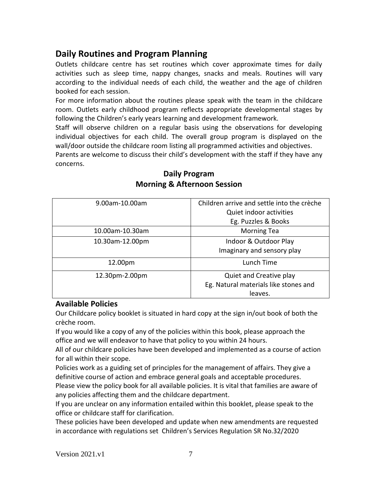# **Daily Routines and Program Planning**

Outlets childcare centre has set routines which cover approximate times for daily activities such as sleep time, nappy changes, snacks and meals. Routines will vary according to the individual needs of each child, the weather and the age of children booked for each session.

For more information about the routines please speak with the team in the childcare room. Outlets early childhood program reflects appropriate developmental stages by following the Children's early years learning and development framework.

Staff will observe children on a regular basis using the observations for developing individual objectives for each child. The overall group program is displayed on the wall/door outside the childcare room listing all programmed activities and objectives.

Parents are welcome to discuss their child's development with the staff if they have any concerns.

| 9.00am-10.00am  | Children arrive and settle into the crèche |
|-----------------|--------------------------------------------|
|                 | Quiet indoor activities                    |
|                 | Eg. Puzzles & Books                        |
| 10.00am-10.30am | <b>Morning Tea</b>                         |
| 10.30am-12.00pm | Indoor & Outdoor Play                      |
|                 | Imaginary and sensory play                 |
| 12.00pm         | Lunch Time                                 |
| 12.30pm-2.00pm  | Quiet and Creative play                    |
|                 | Eg. Natural materials like stones and      |
|                 | leaves.                                    |

# **Daily Program Morning & Afternoon Session**

# **Available Policies**

Our Childcare policy booklet is situated in hard copy at the sign in/out book of both the crèche room.

If you would like a copy of any of the policies within this book, please approach the office and we will endeavor to have that policy to you within 24 hours.

All of our childcare policies have been developed and implemented as a course of action for all within their scope.

Policies work as a guiding set of principles for the management of affairs. They give a definitive course of action and embrace general goals and acceptable procedures.

Please view the policy book for all available policies. It is vital that families are aware of any policies affecting them and the childcare department.

If you are unclear on any information entailed within this booklet, please speak to the office or childcare staff for clarification.

These policies have been developed and update when new amendments are requested in accordance with regulations set Children's Services Regulation SR No.32/2020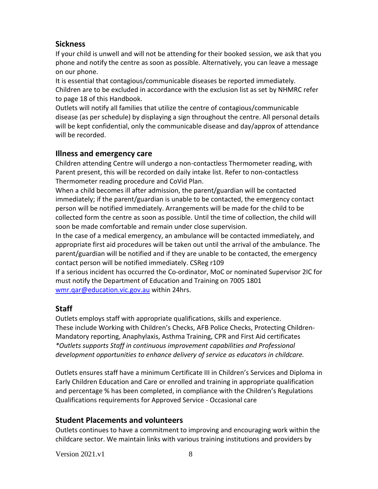# **Sickness**

If your child is unwell and will not be attending for their booked session, we ask that you phone and notify the centre as soon as possible. Alternatively, you can leave a message on our phone.

It is essential that contagious/communicable diseases be reported immediately. Children are to be excluded in accordance with the exclusion list as set by NHMRC refer to page 18 of this Handbook.

Outlets will notify all families that utilize the centre of contagious/communicable disease (as per schedule) by displaying a sign throughout the centre. All personal details will be kept confidential, only the communicable disease and day/approx of attendance will be recorded.

# **Illness and emergency care**

Children attending Centre will undergo a non-contactless Thermometer reading, with Parent present, this will be recorded on daily intake list. Refer to non-contactless Thermometer reading procedure and CoVid Plan.

When a child becomes ill after admission, the parent/guardian will be contacted immediately; if the parent/guardian is unable to be contacted, the emergency contact person will be notified immediately. Arrangements will be made for the child to be collected form the centre as soon as possible. Until the time of collection, the child will soon be made comfortable and remain under close supervision.

In the case of a medical emergency, an ambulance will be contacted immediately, and appropriate first aid procedures will be taken out until the arrival of the ambulance. The parent/guardian will be notified and if they are unable to be contacted, the emergency contact person will be notified immediately. CSReg r109

If a serious incident has occurred the Co-ordinator, MoC or nominated Supervisor 2IC for must notify the Department of Education and Training on 7005 1801 [wmr.qar@education.vic.gov.au](mailto:wmr.qar@education.vic.gov.au) within 24hrs.

# **Staff**

Outlets employs staff with appropriate qualifications, skills and experience. These include Working with Children's Checks, AFB Police Checks, Protecting Children-Mandatory reporting, Anaphylaxis, Asthma Training, CPR and First Aid certificates *\*Outlets supports Staff in continuous improvement capabilities and Professional development opportunities to enhance delivery of service as educators in childcare.*

Outlets ensures staff have a minimum Certificate III in Children's Services and Diploma in Early Children Education and Care or enrolled and training in appropriate qualification and percentage % has been completed, in compliance with the Children's Regulations Qualifications requirements for Approved Service - Occasional care

# **Student Placements and volunteers**

Outlets continues to have a commitment to improving and encouraging work within the childcare sector. We maintain links with various training institutions and providers by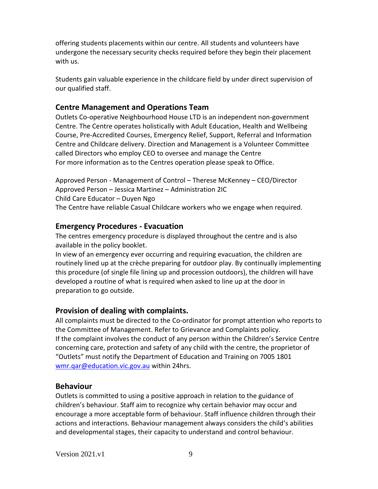offering students placements within our centre. All students and volunteers have undergone the necessary security checks required before they begin their placement with us.

Students gain valuable experience in the childcare field by under direct supervision of our qualified staff.

# **Centre Management and Operations Team**

Outlets Co-operative Neighbourhood House LTD is an independent non-government Centre. The Centre operates holistically with Adult Education, Health and Wellbeing Course, Pre-Accredited Courses, Emergency Relief, Support, Referral and Information Centre and Childcare delivery. Direction and Management is a Volunteer Committee called Directors who employ CEO to oversee and manage the Centre For more information as to the Centres operation please speak to Office.

Approved Person - Management of Control – Therese McKenney – CEO/Director Approved Person – Jessica Martinez – Administration 2IC Child Care Educator – Duyen Ngo The Centre have reliable Casual Childcare workers who we engage when required.

# **Emergency Procedures - Evacuation**

The centres emergency procedure is displayed throughout the centre and is also available in the policy booklet.

In view of an emergency ever occurring and requiring evacuation, the children are routinely lined up at the crèche preparing for outdoor play. By continually implementing this procedure (of single file lining up and procession outdoors), the children will have developed a routine of what is required when asked to line up at the door in preparation to go outside.

# **Provision of dealing with complaints.**

All complaints must be directed to the Co-ordinator for prompt attention who reports to the Committee of Management. Refer to Grievance and Complaints policy. If the complaint involves the conduct of any person within the Children's Service Centre concerning care, protection and safety of any child with the centre, the proprietor of "Outlets" must notify the Department of Education and Training on 7005 1801 [wmr.qar@education.vic.gov.au](mailto:wmr.qar@education.vic.gov.au) within 24hrs.

# **Behaviour**

Outlets is committed to using a positive approach in relation to the guidance of children's behaviour. Staff aim to recognize why certain behavior may occur and encourage a more acceptable form of behaviour. Staff influence children through their actions and interactions. Behaviour management always considers the child's abilities and developmental stages, their capacity to understand and control behaviour.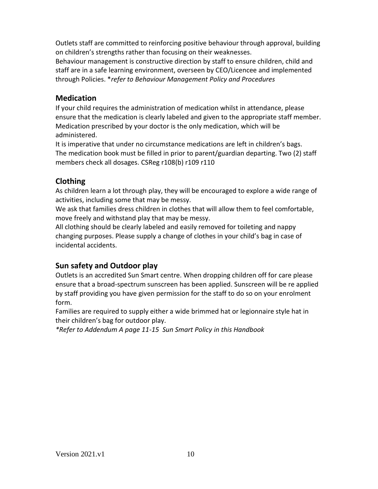Outlets staff are committed to reinforcing positive behaviour through approval, building on children's strengths rather than focusing on their weaknesses.

Behaviour management is constructive direction by staff to ensure children, child and staff are in a safe learning environment, overseen by CEO/Licencee and implemented through Policies. \**refer to Behaviour Management Policy and Procedures*

# **Medication**

If your child requires the administration of medication whilst in attendance, please ensure that the medication is clearly labeled and given to the appropriate staff member. Medication prescribed by your doctor is the only medication, which will be administered.

It is imperative that under no circumstance medications are left in children's bags. The medication book must be filled in prior to parent/guardian departing. Two (2) staff members check all dosages. CSReg r108(b) r109 r110

# **Clothing**

As children learn a lot through play, they will be encouraged to explore a wide range of activities, including some that may be messy.

We ask that families dress children in clothes that will allow them to feel comfortable, move freely and withstand play that may be messy.

All clothing should be clearly labeled and easily removed for toileting and nappy changing purposes. Please supply a change of clothes in your child's bag in case of incidental accidents.

# **Sun safety and Outdoor play**

Outlets is an accredited Sun Smart centre. When dropping children off for care please ensure that a broad-spectrum sunscreen has been applied. Sunscreen will be re applied by staff providing you have given permission for the staff to do so on your enrolment form.

Families are required to supply either a wide brimmed hat or legionnaire style hat in their children's bag for outdoor play.

*\*Refer to Addendum A page 11-15 Sun Smart Policy in this Handbook*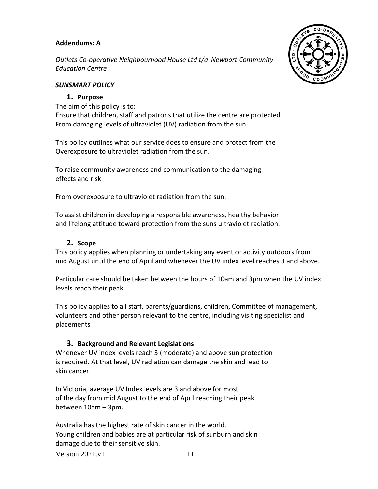### **Addendums: A**

*Outlets Co-operative Neighbourhood House Ltd t/a Newport Community Education Centre* 

### *SUNSMART POLICY*

#### **1. Purpose**

The aim of this policy is to: Ensure that children, staff and patrons that utilize the centre are protected From damaging levels of ultraviolet (UV) radiation from the sun.

This policy outlines what our service does to ensure and protect from the Overexposure to ultraviolet radiation from the sun.

To raise community awareness and communication to the damaging effects and risk

From overexposure to ultraviolet radiation from the sun.

To assist children in developing a responsible awareness, healthy behavior and lifelong attitude toward protection from the suns ultraviolet radiation.

#### **2. Scope**

This policy applies when planning or undertaking any event or activity outdoors from mid August until the end of April and whenever the UV index level reaches 3 and above.

Particular care should be taken between the hours of 10am and 3pm when the UV index levels reach their peak.

This policy applies to all staff, parents/guardians, children, Committee of management, volunteers and other person relevant to the centre, including visiting specialist and placements

### **3. Background and Relevant Legislations**

Whenever UV index levels reach 3 (moderate) and above sun protection is required. At that level, UV radiation can damage the skin and lead to skin cancer.

In Victoria, average UV Index levels are 3 and above for most of the day from mid August to the end of April reaching their peak between 10am – 3pm.

Australia has the highest rate of skin cancer in the world. Young children and babies are at particular risk of sunburn and skin damage due to their sensitive skin.

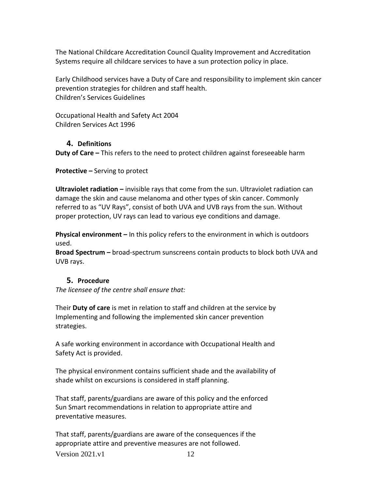The National Childcare Accreditation Council Quality Improvement and Accreditation Systems require all childcare services to have a sun protection policy in place.

Early Childhood services have a Duty of Care and responsibility to implement skin cancer prevention strategies for children and staff health. Children's Services Guidelines

Occupational Health and Safety Act 2004 Children Services Act 1996

### **4. Definitions**

**Duty of Care –** This refers to the need to protect children against foreseeable harm

**Protective –** Serving to protect

**Ultraviolet radiation –** invisible rays that come from the sun. Ultraviolet radiation can damage the skin and cause melanoma and other types of skin cancer. Commonly referred to as "UV Rays", consist of both UVA and UVB rays from the sun. Without proper protection, UV rays can lead to various eye conditions and damage.

**Physical environment –** In this policy refers to the environment in which is outdoors used.

**Broad Spectrum –** broad-spectrum sunscreens contain products to block both UVA and UVB rays.

### **5. Procedure**

*The licensee of the centre shall ensure that:*

Their **Duty of care** is met in relation to staff and children at the service by Implementing and following the implemented skin cancer prevention strategies.

A safe working environment in accordance with Occupational Health and Safety Act is provided.

The physical environment contains sufficient shade and the availability of shade whilst on excursions is considered in staff planning.

That staff, parents/guardians are aware of this policy and the enforced Sun Smart recommendations in relation to appropriate attire and preventative measures.

Version  $2021 \text{ v}1$  12 That staff, parents/guardians are aware of the consequences if the appropriate attire and preventive measures are not followed.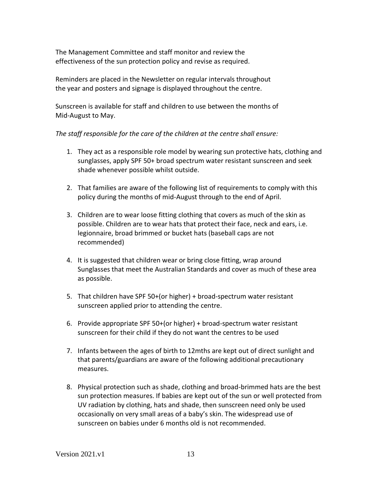The Management Committee and staff monitor and review the effectiveness of the sun protection policy and revise as required.

Reminders are placed in the Newsletter on regular intervals throughout the year and posters and signage is displayed throughout the centre.

Sunscreen is available for staff and children to use between the months of Mid-August to May.

#### *The staff responsible for the care of the children at the centre shall ensure:*

- 1. They act as a responsible role model by wearing sun protective hats, clothing and sunglasses, apply SPF 50+ broad spectrum water resistant sunscreen and seek shade whenever possible whilst outside.
- 2. That families are aware of the following list of requirements to comply with this policy during the months of mid-August through to the end of April.
- 3. Children are to wear loose fitting clothing that covers as much of the skin as possible. Children are to wear hats that protect their face, neck and ears, i.e. legionnaire, broad brimmed or bucket hats (baseball caps are not recommended)
- 4. It is suggested that children wear or bring close fitting, wrap around Sunglasses that meet the Australian Standards and cover as much of these area as possible.
- 5. That children have SPF 50+(or higher) + broad-spectrum water resistant sunscreen applied prior to attending the centre.
- 6. Provide appropriate SPF 50+(or higher) + broad-spectrum water resistant sunscreen for their child if they do not want the centres to be used
- 7. Infants between the ages of birth to 12mths are kept out of direct sunlight and that parents/guardians are aware of the following additional precautionary measures.
- 8. Physical protection such as shade, clothing and broad-brimmed hats are the best sun protection measures. If babies are kept out of the sun or well protected from UV radiation by clothing, hats and shade, then sunscreen need only be used occasionally on very small areas of a baby's skin. The widespread use of sunscreen on babies under 6 months old is not recommended.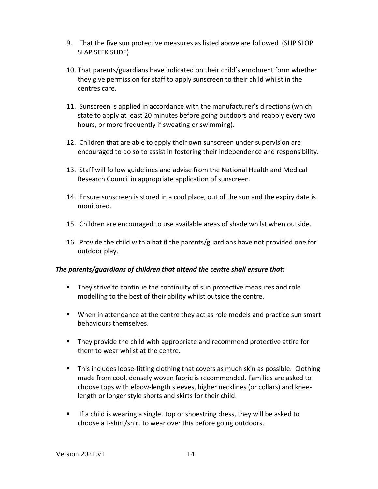- 9. That the five sun protective measures as listed above are followed (SLIP SLOP SLAP SEEK SLIDE)
- 10. That parents/guardians have indicated on their child's enrolment form whether they give permission for staff to apply sunscreen to their child whilst in the centres care.
- 11. Sunscreen is applied in accordance with the manufacturer's directions (which state to apply at least 20 minutes before going outdoors and reapply every two hours, or more frequently if sweating or swimming).
- 12. Children that are able to apply their own sunscreen under supervision are encouraged to do so to assist in fostering their independence and responsibility.
- 13. Staff will follow guidelines and advise from the National Health and Medical Research Council in appropriate application of sunscreen.
- 14. Ensure sunscreen is stored in a cool place, out of the sun and the expiry date is monitored.
- 15. Children are encouraged to use available areas of shade whilst when outside.
- 16. Provide the child with a hat if the parents/guardians have not provided one for outdoor play.

### *The parents/guardians of children that attend the centre shall ensure that:*

- They strive to continue the continuity of sun protective measures and role modelling to the best of their ability whilst outside the centre.
- When in attendance at the centre they act as role models and practice sun smart behaviours themselves.
- They provide the child with appropriate and recommend protective attire for them to wear whilst at the centre.
- This includes loose-fitting clothing that covers as much skin as possible. Clothing made from cool, densely woven fabric is recommended. Families are asked to choose tops with elbow-length sleeves, higher necklines (or collars) and kneelength or longer style shorts and skirts for their child.
- **■** If a child is wearing a singlet top or shoestring dress, they will be asked to choose a t-shirt/shirt to wear over this before going outdoors.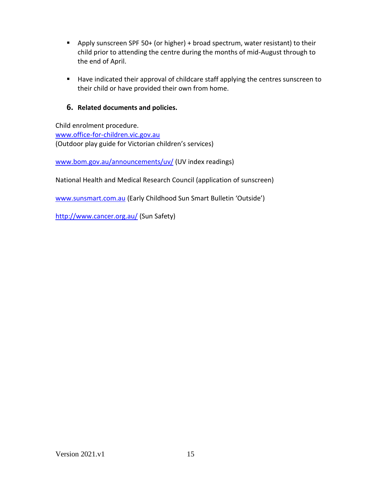- Apply sunscreen SPF 50+ (or higher) + broad spectrum, water resistant) to their child prior to attending the centre during the months of mid-August through to the end of April.
- Have indicated their approval of childcare staff applying the centres sunscreen to their child or have provided their own from home.

### **6. Related documents and policies.**

Child enrolment procedure. [www.office-for-children.vic.gov.au](http://www.office-for-children.vic.gov.au/) (Outdoor play guide for Victorian children's services)

[www.bom.gov.au/announcements/uv/](http://www.bom.gov.au/announcements/uv/) (UV index readings)

National Health and Medical Research Council (application of sunscreen)

[www.sunsmart.com.au](http://www.sunsmart.com.au/) (Early Childhood Sun Smart Bulletin 'Outside')

<http://www.cancer.org.au/> (Sun Safety)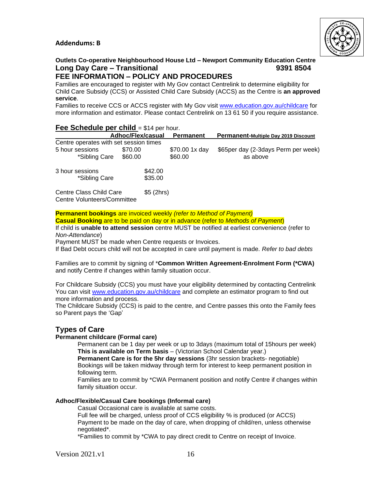#### **Addendums: B**



# **Outlets Co-operative Neighbourhood House Ltd – Newport Community Education Centre Long Day Care – Transitional 9391 8504**

#### **FEE INFORMATION – POLICY AND PROCEDURES**

Families are encouraged to register with My Gov contact Centrelink to determine eligibility for Child Care Subsidy (CCS) or Assisted Child Care Subsidy (ACCS) as the Centre is **an approved service**.

Families to receive CCS or ACCS register with My Gov visit [www.education.gov.au/](http://www.education.gov.au/)childcare for more information and estimator. Please contact Centrelink on 13 61 50 if you require assistance.

#### **Fee Schedule per child** = \$14 per hour.

|                                                        | <b>Adhoc/Flex/casual</b> |           | <b>Permanent</b> | Permanent-Multiple Day 2019 Discount  |
|--------------------------------------------------------|--------------------------|-----------|------------------|---------------------------------------|
| Centre operates with set session times                 |                          |           |                  |                                       |
| 5 hour sessions                                        | \$70.00                  |           | \$70.00 1x day   | \$65 per day (2-3 days Perm per week) |
| *Sibling Care                                          | \$60.00                  |           | \$60.00          | as above                              |
| 3 hour sessions                                        |                          | \$42.00   |                  |                                       |
| *Sibling Care                                          |                          | \$35.00   |                  |                                       |
| Centre Class Child Care<br>Centre Volunteers/Committee |                          | \$5(2hrs) |                  |                                       |

**Permanent bookings** are invoiced weekly *(refer to Method of Payment)*

**Casual Booking** are to be paid on day or in advance (refer to *Methods of Payment*)

If child is **unable to attend session** centre MUST be notified at earliest convenience (refer to *Non-Attendance*)

Payment MUST be made when Centre requests or Invoices.

If Bad Debt occurs child will not be accepted in care until payment is made. *Refer to bad debts*

Families are to commit by signing of \***Common Written Agreement-Enrolment Form (\*CWA)** and notify Centre if changes within family situation occur.

For Childcare Subsidy (CCS) you must have your eligibility determined by contacting Centrelink You can visit [www.education.gov.au/](http://www.education.gov.au/)childcare and complete an estimator program to find out more information and process.

The Childcare Subsidy (CCS) is paid to the centre, and Centre passes this onto the Family fees so Parent pays the 'Gap'

#### **Types of Care**

#### **Permanent childcare (Formal care)**

Permanent can be 1 day per week or up to 3days (maximum total of 15hours per week) **This is available on Term basis** – (Victorian School Calendar year.)

**Permanent Care is for the 5hr day sessions** (3hr session brackets- negotiable) Bookings will be taken midway through term for interest to keep permanent position in following term.

Families are to commit by \*CWA Permanent position and notify Centre if changes within family situation occur.

#### **Adhoc/Flexible/Casual Care bookings (Informal care)**

Casual Occasional care is available at same costs.

Full fee will be charged, unless proof of CCS eligibility % is produced (or ACCS) Payment to be made on the day of care, when dropping of child/ren, unless otherwise negotiated\*.

\*Families to commit by \*CWA to pay direct credit to Centre on receipt of Invoice.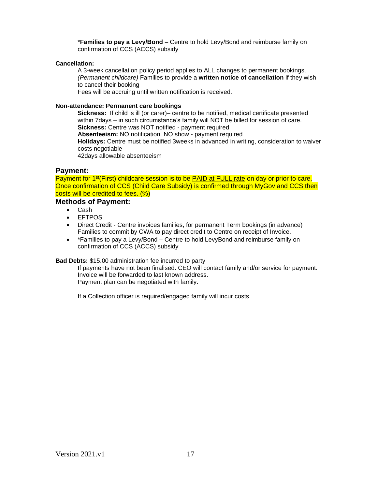\***Families to pay a Levy/Bond** – Centre to hold Levy/Bond and reimburse family on confirmation of CCS (ACCS) subsidy

#### **Cancellation:**

A 3-week cancellation policy period applies to ALL changes to permanent bookings. *(Permanent childcare)* Families to provide a **written notice of cancellation** if they wish to cancel their booking

Fees will be accruing until written notification is received.

#### **Non-attendance: Permanent care bookings**

**Sickness:** If child is ill (or carer)– centre to be notified, medical certificate presented within 7days – in such circumstance's family will NOT be billed for session of care. **Sickness:** Centre was NOT notified - payment required **Absenteeism:** NO notification, NO show - payment required **Holidays:** Centre must be notified 3weeks in advanced in writing, consideration to waiver costs negotiable 42days allowable absenteeism

#### **Payment:**

Payment for 1<sup>st</sup>(First) childcare session is to be PAID at FULL rate on day or prior to care. Once confirmation of CCS (Child Care Subsidy) is confirmed through MyGov and CCS then costs will be credited to fees. (%)

#### **Methods of Payment:**

- Cash
- EFTPOS
- Direct Credit Centre invoices families, for permanent Term bookings (in advance) Families to commit by CWA to pay direct credit to Centre on receipt of Invoice.
- \*Families to pay a Levy/Bond Centre to hold LevyBond and reimburse family on confirmation of CCS (ACCS) subsidy

#### **Bad Debts:** \$15.00 administration fee incurred to party

If payments have not been finalised. CEO will contact family and/or service for payment. Invoice will be forwarded to last known address. Payment plan can be negotiated with family.

If a Collection officer is required/engaged family will incur costs.